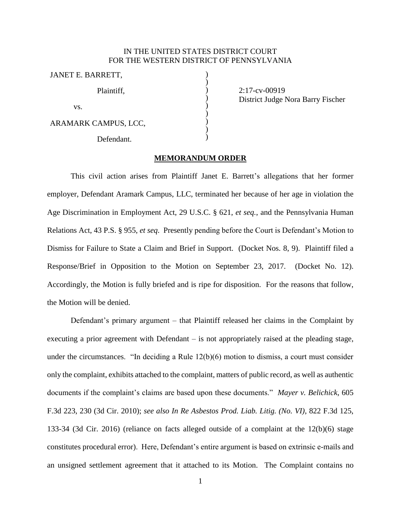## IN THE UNITED STATES DISTRICT COURT FOR THE WESTERN DISTRICT OF PENNSYLVANIA

) ) ) ) ) ) ) ) )

JANET E. BARRETT, Plaintiff, vs. ARAMARK CAMPUS, LCC, Defendant.

2:17-cv-00919 District Judge Nora Barry Fischer

## **MEMORANDUM ORDER**

This civil action arises from Plaintiff Janet E. Barrett's allegations that her former employer, Defendant Aramark Campus, LLC, terminated her because of her age in violation the Age Discrimination in Employment Act, 29 U.S.C. § 621, *et seq.*, and the Pennsylvania Human Relations Act, 43 P.S. § 955, *et seq*. Presently pending before the Court is Defendant's Motion to Dismiss for Failure to State a Claim and Brief in Support. (Docket Nos. 8, 9). Plaintiff filed a Response/Brief in Opposition to the Motion on September 23, 2017. (Docket No. 12). Accordingly, the Motion is fully briefed and is ripe for disposition. For the reasons that follow, the Motion will be denied.

Defendant's primary argument – that Plaintiff released her claims in the Complaint by executing a prior agreement with Defendant – is not appropriately raised at the pleading stage, under the circumstances. "In deciding a Rule 12(b)(6) motion to dismiss, a court must consider only the complaint, exhibits attached to the complaint, matters of public record, as well as authentic documents if the complaint's claims are based upon these documents." *Mayer v. Belichick*, 605 F.3d 223, 230 (3d Cir. 2010); *see also In Re Asbestos Prod. Liab. Litig. (No. VI)*, 822 F.3d 125, 133-34 (3d Cir. 2016) (reliance on facts alleged outside of a complaint at the 12(b)(6) stage constitutes procedural error). Here, Defendant's entire argument is based on extrinsic e-mails and an unsigned settlement agreement that it attached to its Motion. The Complaint contains no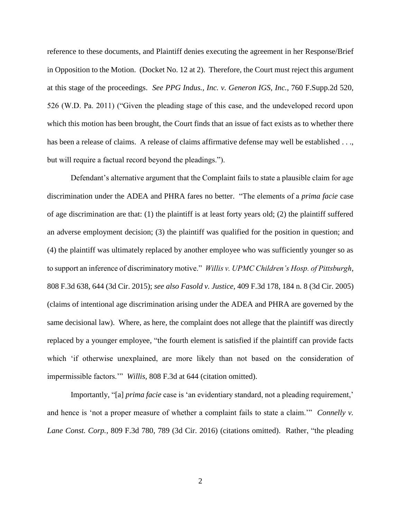reference to these documents, and Plaintiff denies executing the agreement in her Response/Brief in Opposition to the Motion. (Docket No. 12 at 2). Therefore, the Court must reject this argument at this stage of the proceedings. *See PPG Indus., Inc. v. Generon IGS, Inc.*, 760 F.Supp.2d 520, 526 (W.D. Pa. 2011) ("Given the pleading stage of this case, and the undeveloped record upon which this motion has been brought, the Court finds that an issue of fact exists as to whether there has been a release of claims. A release of claims affirmative defense may well be established . . ., but will require a factual record beyond the pleadings.").

Defendant's alternative argument that the Complaint fails to state a plausible claim for age discrimination under the ADEA and PHRA fares no better. "The elements of a *prima facie* case of age discrimination are that: (1) the plaintiff is at least forty years old; (2) the plaintiff suffered an adverse employment decision; (3) the plaintiff was qualified for the position in question; and (4) the plaintiff was ultimately replaced by another employee who was sufficiently younger so as to support an inference of discriminatory motive." *Willis v. UPMC Children's Hosp. of Pittsburgh*, 808 F.3d 638, 644 (3d Cir. 2015); *see also Fasold v. Justice*, 409 F.3d 178, 184 n. 8 (3d Cir. 2005) (claims of intentional age discrimination arising under the ADEA and PHRA are governed by the same decisional law). Where, as here, the complaint does not allege that the plaintiff was directly replaced by a younger employee, "the fourth element is satisfied if the plaintiff can provide facts which 'if otherwise unexplained, are more likely than not based on the consideration of impermissible factors.'" *Willis,* 808 F.3d at 644 (citation omitted).

Importantly, "[a] *prima facie* case is 'an evidentiary standard, not a pleading requirement,' and hence is 'not a proper measure of whether a complaint fails to state a claim.'" *Connelly v. Lane Const. Corp.*, 809 F.3d 780, 789 (3d Cir. 2016) (citations omitted). Rather, "the pleading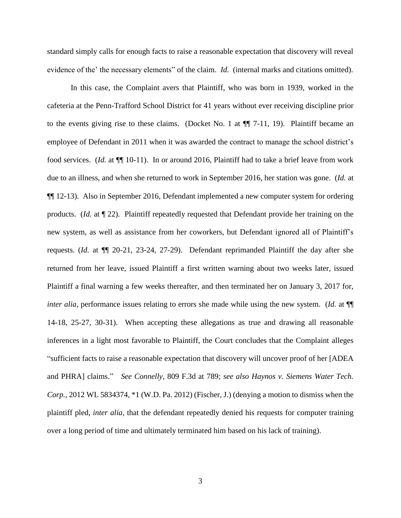standard simply calls for enough facts to raise a reasonable expectation that discovery will reveal evidence of the' the necessary elements" of the claim. *Id.* (internal marks and citations omitted).

In this case, the Complaint avers that Plaintiff, who was born in 1939, worked in the cafeteria at the Penn-Trafford School District for 41 years without ever receiving discipline prior to the events giving rise to these claims. (Docket No. 1 at ¶¶ 7-11, 19). Plaintiff became an employee of Defendant in 2011 when it was awarded the contract to manage the school district's food services. (*Id.* at ¶¶ 10-11). In or around 2016, Plaintiff had to take a brief leave from work due to an illness, and when she returned to work in September 2016, her station was gone. (*Id.* at ¶¶ 12-13). Also in September 2016, Defendant implemented a new computer system for ordering products. (*Id.* at ¶ 22). Plaintiff repeatedly requested that Defendant provide her training on the new system, as well as assistance from her coworkers, but Defendant ignored all of Plaintiff's requests. (*Id.* at ¶¶ 20-21, 23-24, 27-29). Defendant reprimanded Plaintiff the day after she returned from her leave, issued Plaintiff a first written warning about two weeks later, issued Plaintiff a final warning a few weeks thereafter, and then terminated her on January 3, 2017 for, *inter alia*, performance issues relating to errors she made while using the new system. (*Id.* at  $\P$ 14-18, 25-27, 30-31). When accepting these allegations as true and drawing all reasonable inferences in a light most favorable to Plaintiff, the Court concludes that the Complaint alleges "sufficient facts to raise a reasonable expectation that discovery will uncover proof of her [ADEA and PHRA] claims." *See Connelly*, 809 F.3d at 789; *see also Haynos v. Siemens Water Tech. Corp.*, 2012 WL 5834374, \*1 (W.D. Pa. 2012) (Fischer, J.) (denying a motion to dismiss when the plaintiff pled, *inter alia*, that the defendant repeatedly denied his requests for computer training over a long period of time and ultimately terminated him based on his lack of training).